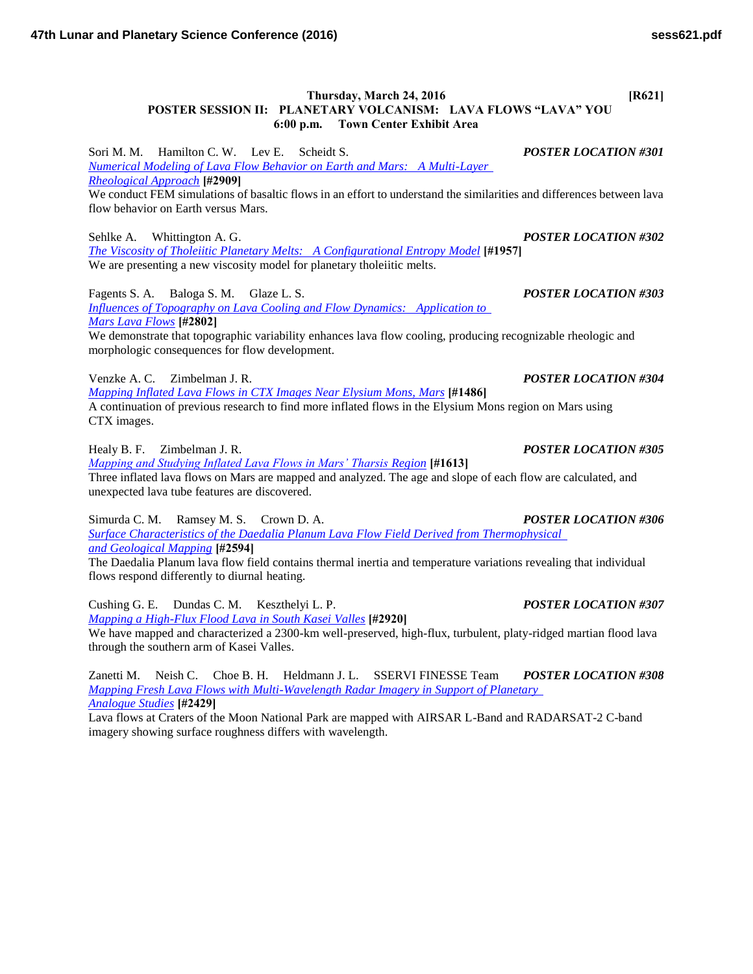## **Thursday, March 24, 2016 [R621] POSTER SESSION II: PLANETARY VOLCANISM: LAVA FLOWS "LAVA" YOU 6:00 p.m. Town Center Exhibit Area**

Sori M. M. Hamilton C. W. Lev E. Scheidt S. *POSTER LOCATION #301 [Numerical Modeling of Lava Flow Behavior on Earth and Mars: A Multi-Layer](http://www.hou.usra.edu/meetings/lpsc2016/pdf/2909.pdf)  [Rheological Approach](http://www.hou.usra.edu/meetings/lpsc2016/pdf/2909.pdf)* **[#2909]** We conduct FEM simulations of basaltic flows in an effort to understand the similarities and differences between lava flow behavior on Earth versus Mars.

Sehlke A. Whittington A. G. *POSTER LOCATION #302 [The Viscosity of Tholeiitic Planetary Melts: A Configurational Entropy Model](http://www.hou.usra.edu/meetings/lpsc2016/pdf/1957.pdf)* **[#1957]** We are presenting a new viscosity model for planetary tholeiitic melts.

Fagents S. A. Baloga S. M. Glaze L. S. *POSTER LOCATION #303 [Influences of Topography on Lava Cooling and Flow Dynamics: Application to](http://www.hou.usra.edu/meetings/lpsc2016/pdf/2802.pdf)  [Mars Lava Flows](http://www.hou.usra.edu/meetings/lpsc2016/pdf/2802.pdf)* **[#2802]** We demonstrate that topographic variability enhances lava flow cooling, producing recognizable rheologic and

morphologic consequences for flow development.

Venzke A. C. Zimbelman J. R. *POSTER LOCATION #304*

*[Mapping Inflated Lava Flows in CTX Images Near Elysium Mons, Mars](http://www.hou.usra.edu/meetings/lpsc2016/pdf/1486.pdf)* **[#1486]** A continuation of previous research to find more inflated flows in the Elysium Mons region on Mars using CTX images.

Healy B. F. Zimbelman J. R. *POSTER LOCATION #305*

*[Mapping and Studying Inflated Lava Flows in Mars' Tharsis Region](http://www.hou.usra.edu/meetings/lpsc2016/pdf/1613.pdf)* **[#1613]** Three inflated lava flows on Mars are mapped and analyzed. The age and slope of each flow are calculated, and unexpected lava tube features are discovered.

Simurda C. M. Ramsey M. S. Crown D. A. *POSTER LOCATION #306 [Surface Characteristics of the Daedalia Planum Lava Flow Field Derived from Thermophysical](http://www.hou.usra.edu/meetings/lpsc2016/pdf/2594.pdf)  [and Geological Mapping](http://www.hou.usra.edu/meetings/lpsc2016/pdf/2594.pdf)* **[#2594]**

The Daedalia Planum lava flow field contains thermal inertia and temperature variations revealing that individual flows respond differently to diurnal heating.

Cushing G. E. Dundas C. M. Keszthelyi L. P. *POSTER LOCATION #307 [Mapping a High-Flux Flood Lava in South Kasei Valles](http://www.hou.usra.edu/meetings/lpsc2016/pdf/2920.pdf)* **[#2920]** We have mapped and characterized a 2300-km well-preserved, high-flux, turbulent, platy-ridged martian flood lava through the southern arm of Kasei Valles.

Zanetti M. Neish C. Choe B. H. Heldmann J. L. SSERVI FINESSE Team *POSTER LOCATION #308 [Mapping Fresh Lava Flows with Multi-Wavelength Radar Imagery in Support of Planetary](http://www.hou.usra.edu/meetings/lpsc2016/pdf/2429.pdf)  [Analogue Studies](http://www.hou.usra.edu/meetings/lpsc2016/pdf/2429.pdf)* **[#2429]**

Lava flows at Craters of the Moon National Park are mapped with AIRSAR L-Band and RADARSAT-2 C-band imagery showing surface roughness differs with wavelength.